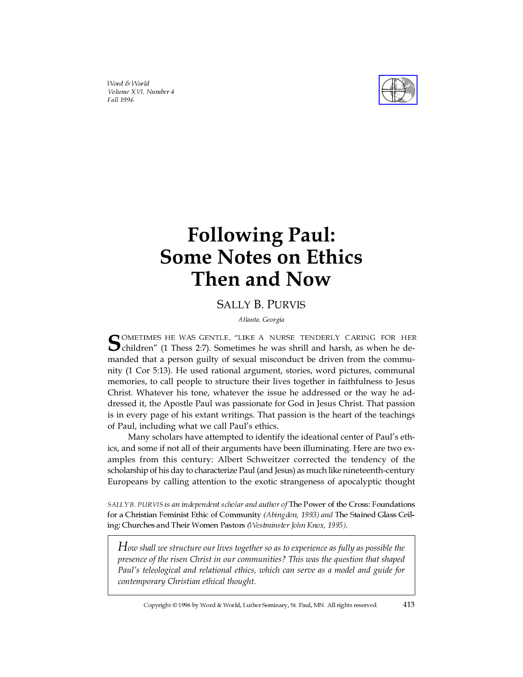Word & World Volume XVI, Number 4 Fall 1996



# **Following Paul: Some Notes on Ethics Then and Now**

## SALLY B. PURVIS

Atlanta, Georgia

SOMETIMES HE WAS GENTLE, "LIKE A NURSE TENDERLY CARING FOR HER children" (1 Thess 2:7). Sometimes he was shrill and harsh, as when he demanded that a person guilty of sexual misconduct be driven from the community (1 Cor 5:13). He used rational argument, stories, word pictures, communal memories, to call people to structure their lives together in faithfulness to Jesus Christ. Whatever his tone, whatever the issue he addressed or the way he addressed it, the Apostle Paul was passionate for God in Jesus Christ. That passion is in every page of his extant writings. That passion is the heart of the teachings of Paul, including what we call Paul's ethics.

Many scholars have attempted to identify the ideational center of Paul's ethics, and some if not all of their arguments have been illuminating. Here are two examples from this century: Albert Schweitzer corrected the tendency of the scholarship of his day to characterize Paul (and Jesus) as much like nineteenth-century Europeans by calling attention to the exotic strangeness of apocalyptic thought

SALLY B. PURVIS is an independent scholar and author of The Power of the Cross: Foundations for a Christian Feminist Ethic of Community (Abingdon, 1993) and The Stained Glass Ceiling: Churches and Their Women Pastors (Westminster John Knox, 1995).

*How shall we structure our lives together so as to experience as fully as possible the presence of the risen Christ in our communities? This was the question that shaped Paul's teleological and relational ethics, which can serve as a model and guide for contemporary Christian ethical thought.*

Copyright © 1996 by Word & World, Luther Seminary, St. Paul, MN. All rights reserved. 413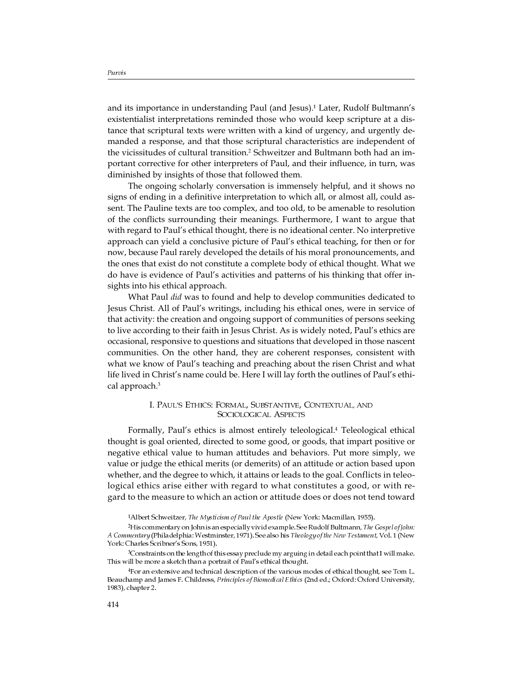and its importance in understanding Paul (and Jesus).<sup>1</sup> Later, Rudolf Bultmann's existentialist interpretations reminded those who would keep scripture at a distance that scriptural texts were written with a kind of urgency, and urgently demanded a response, and that those scriptural characteristics are independent of the vicissitudes of cultural transition.<sup>2</sup> Schweitzer and Bultmann both had an important corrective for other interpreters of Paul, and their influence, in turn, was diminished by insights of those that followed them.

The ongoing scholarly conversation is immensely helpful, and it shows no signs of ending in a definitive interpretation to which all, or almost all, could assent. The Pauline texts are too complex, and too old, to be amenable to resolution of the conflicts surrounding their meanings. Furthermore, I want to argue that with regard to Paul's ethical thought, there is no ideational center. No interpretive approach can yield a conclusive picture of Paul's ethical teaching, for then or for now, because Paul rarely developed the details of his moral pronouncements, and the ones that exist do not constitute a complete body of ethical thought. What we do have is evidence of Paul's activities and patterns of his thinking that offer insights into his ethical approach.

What Paul *did* was to found and help to develop communities dedicated to Jesus Christ. All of Paul's writings, including his ethical ones, were in service of that activity: the creation and ongoing support of communities of persons seeking to live according to their faith in Jesus Christ. As is widely noted, Paul's ethics are occasional, responsive to questions and situations that developed in those nascent communities. On the other hand, they are coherent responses, consistent with what we know of Paul's teaching and preaching about the risen Christ and what life lived in Christ's name could be. Here I will lay forth the outlines of Paul's ethical approach.<sup>3</sup>

#### I. PAUL'S ETHICS: FORMAL, SUBSTANTIVE, CONTEXTUAL, AND SOCIOLOGICAL ASPECTS

Formally, Paul's ethics is almost entirely teleological.<sup>4</sup> Teleological ethical thought is goal oriented, directed to some good, or goods, that impart positive or negative ethical value to human attitudes and behaviors. Put more simply, we value or judge the ethical merits (or demerits) of an attitude or action based upon whether, and the degree to which, it attains or leads to the goal. Conflicts in teleological ethics arise either with regard to what constitutes a good, or with regard to the measure to which an action or attitude does or does not tend toward

1Albert Schweitzer, The Mysticism of Paul the Apostle (New York: Macmillan, 1955).

<sup>2</sup>His commentary on John is an especially vivid example. See Rudolf Bultmann, The Gospel of John: A Commentary (Philadelphia: Westminster, 1971). See also his Theology of the New Testament, Vol. 1 (New York: Charles Scribner's Sons, 1951).

3Constraints on the length of this essay preclude my arguing in detail each point that I will make. This will be more a sketch than a portrait of Paul's ethical thought.

4For an extensive and technical description of the various modes of ethical thought, see Tom L. Beauchamp and James F. Childress, Principles of Biomedical Ethics (2nd ed.; Oxford: Oxford University, 1983), chapter 2.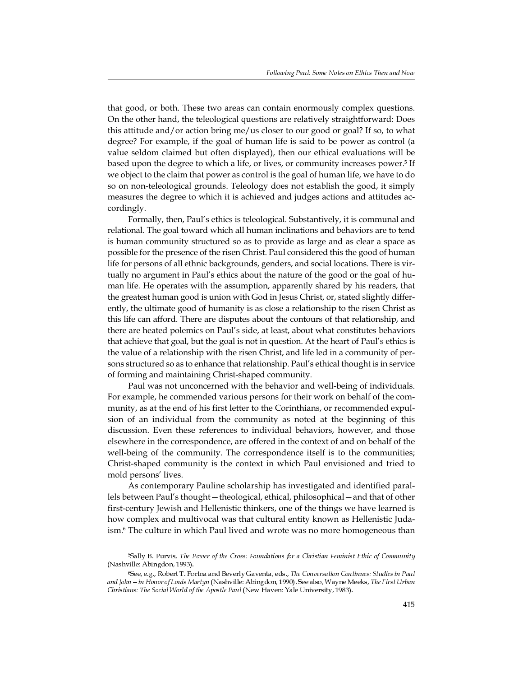that good, or both. These two areas can contain enormously complex questions. On the other hand, the teleological questions are relatively straightforward: Does this attitude and/or action bring me/us closer to our good or goal? If so, to what degree? For example, if the goal of human life is said to be power as control (a value seldom claimed but often displayed), then our ethical evaluations will be based upon the degree to which a life, or lives, or community increases power.<sup>5</sup> If we object to the claim that power as control is the goal of human life, we have to do so on non-teleological grounds. Teleology does not establish the good, it simply measures the degree to which it is achieved and judges actions and attitudes accordingly.

Formally, then, Paul's ethics is teleological. Substantively, it is communal and relational. The goal toward which all human inclinations and behaviors are to tend is human community structured so as to provide as large and as clear a space as possible for the presence of the risen Christ. Paul considered this the good of human life for persons of all ethnic backgrounds, genders, and social locations. There is virtually no argument in Paul's ethics about the nature of the good or the goal of human life. He operates with the assumption, apparently shared by his readers, that the greatest human good is union with God in Jesus Christ, or, stated slightly differently, the ultimate good of humanity is as close a relationship to the risen Christ as this life can afford. There are disputes about the contours of that relationship, and there are heated polemics on Paul's side, at least, about what constitutes behaviors that achieve that goal, but the goal is not in question. At the heart of Paul's ethics is the value of a relationship with the risen Christ, and life led in a community of persons structured so as to enhance that relationship. Paul's ethical thought is in service of forming and maintaining Christ-shaped community.

Paul was not unconcerned with the behavior and well-being of individuals. For example, he commended various persons for their work on behalf of the community, as at the end of his first letter to the Corinthians, or recommended expulsion of an individual from the community as noted at the beginning of this discussion. Even these references to individual behaviors, however, and those elsewhere in the correspondence, are offered in the context of and on behalf of the well-being of the community. The correspondence itself is to the communities; Christ-shaped community is the context in which Paul envisioned and tried to mold persons' lives.

As contemporary Pauline scholarship has investigated and identified parallels between Paul's thought—theological, ethical, philosophical—and that of other first-century Jewish and Hellenistic thinkers, one of the things we have learned is how complex and multivocal was that cultural entity known as Hellenistic Judaism.<sup>6</sup> The culture in which Paul lived and wrote was no more homogeneous than

<sup>5</sup>Sally B. Purvis, The Power of the Cross: Foundations for a Christian Feminist Ethic of Community (Nashville: Abingdon, 1993).

<sup>6</sup>See, e.g., Robert T. Fortna and Beverly Gaventa, eds., The Conversation Continues: Studies in Paul and John – in Honor of Louis Martyn (Nashville: Abingdon, 1990). See also, Wayne Meeks, *The First Urban* Christians: The Social World of the Apostle Paul (New Haven: Yale University, 1983).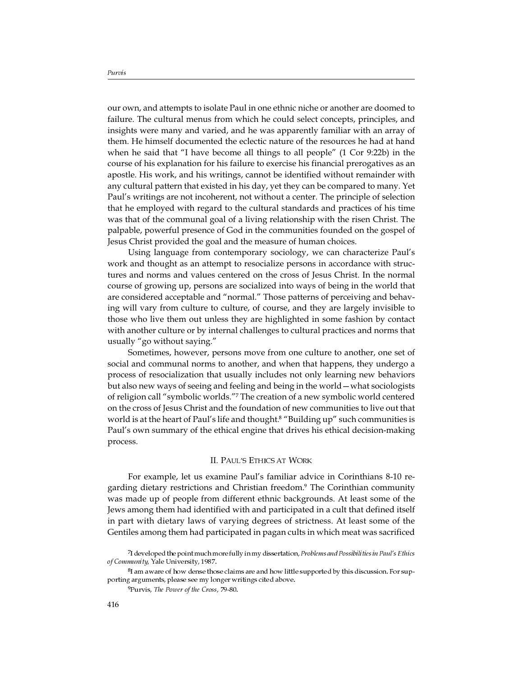our own, and attempts to isolate Paul in one ethnic niche or another are doomed to failure. The cultural menus from which he could select concepts, principles, and insights were many and varied, and he was apparently familiar with an array of them. He himself documented the eclectic nature of the resources he had at hand when he said that "I have become all things to all people" (1 Cor 9:22b) in the course of his explanation for his failure to exercise his financial prerogatives as an apostle. His work, and his writings, cannot be identified without remainder with any cultural pattern that existed in his day, yet they can be compared to many. Yet Paul's writings are not incoherent, not without a center. The principle of selection that he employed with regard to the cultural standards and practices of his time was that of the communal goal of a living relationship with the risen Christ. The palpable, powerful presence of God in the communities founded on the gospel of Jesus Christ provided the goal and the measure of human choices.

Using language from contemporary sociology, we can characterize Paul's work and thought as an attempt to resocialize persons in accordance with structures and norms and values centered on the cross of Jesus Christ. In the normal course of growing up, persons are socialized into ways of being in the world that are considered acceptable and "normal." Those patterns of perceiving and behaving will vary from culture to culture, of course, and they are largely invisible to those who live them out unless they are highlighted in some fashion by contact with another culture or by internal challenges to cultural practices and norms that usually "go without saying."

Sometimes, however, persons move from one culture to another, one set of social and communal norms to another, and when that happens, they undergo a process of resocialization that usually includes not only learning new behaviors but also new ways of seeing and feeling and being in the world—what sociologists of religion call "symbolic worlds."<sup>7</sup> The creation of a new symbolic world centered on the cross of Jesus Christ and the foundation of new communities to live out that world is at the heart of Paul's life and thought.<sup>8</sup> "Building up" such communities is Paul's own summary of the ethical engine that drives his ethical decision-making process.

### II. PAUL'S ETHICS AT WORK

For example, let us examine Paul's familiar advice in Corinthians 8-10 regarding dietary restrictions and Christian freedom.<sup>9</sup> The Corinthian community was made up of people from different ethnic backgrounds. At least some of the Jews among them had identified with and participated in a cult that defined itself in part with dietary laws of varying degrees of strictness. At least some of the Gentiles among them had participated in pagan cults in which meat was sacrificed

<sup>7</sup>I developed the point much more fully in my dissertation, Problems and Possibilities in Paul's Ethics of Community, Yale University, 1987.

<sup>8</sup>I am aware of how dense those claims are and how little supported by this discussion. For supporting arguments, please see my longer writings cited above.

<sup>9</sup>Purvis, The Power of the Cross, 79-80.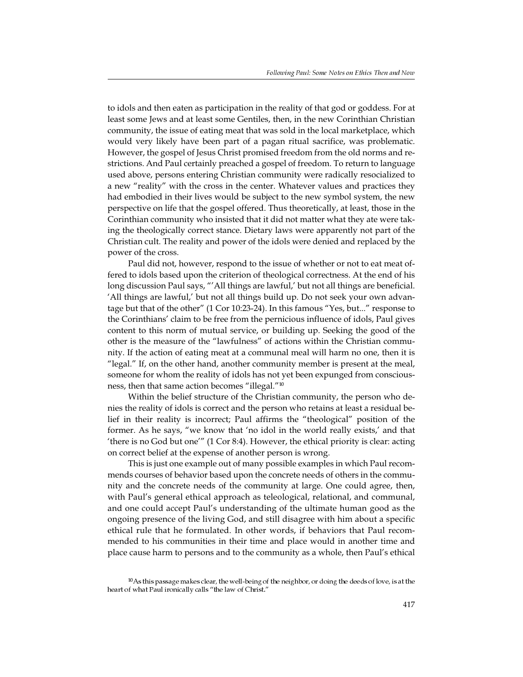to idols and then eaten as participation in the reality of that god or goddess. For at least some Jews and at least some Gentiles, then, in the new Corinthian Christian community, the issue of eating meat that was sold in the local marketplace, which would very likely have been part of a pagan ritual sacrifice, was problematic. However, the gospel of Jesus Christ promised freedom from the old norms and restrictions. And Paul certainly preached a gospel of freedom. To return to language used above, persons entering Christian community were radically resocialized to a new "reality" with the cross in the center. Whatever values and practices they had embodied in their lives would be subject to the new symbol system, the new perspective on life that the gospel offered. Thus theoretically, at least, those in the Corinthian community who insisted that it did not matter what they ate were taking the theologically correct stance. Dietary laws were apparently not part of the Christian cult. The reality and power of the idols were denied and replaced by the power of the cross.

Paul did not, however, respond to the issue of whether or not to eat meat offered to idols based upon the criterion of theological correctness. At the end of his long discussion Paul says, "'All things are lawful,' but not all things are beneficial. 'All things are lawful,' but not all things build up. Do not seek your own advantage but that of the other" (1 Cor 10:23-24). In this famous "Yes, but..." response to the Corinthians' claim to be free from the pernicious influence of idols, Paul gives content to this norm of mutual service, or building up. Seeking the good of the other is the measure of the "lawfulness" of actions within the Christian community. If the action of eating meat at a communal meal will harm no one, then it is "legal." If, on the other hand, another community member is present at the meal, someone for whom the reality of idols has not yet been expunged from consciousness, then that same action becomes "illegal."<sup>10</sup>

Within the belief structure of the Christian community, the person who denies the reality of idols is correct and the person who retains at least a residual belief in their reality is incorrect; Paul affirms the "theological" position of the former. As he says, "we know that 'no idol in the world really exists,' and that 'there is no God but one'" (1 Cor 8:4). However, the ethical priority is clear: acting on correct belief at the expense of another person is wrong.

This is just one example out of many possible examples in which Paul recommends courses of behavior based upon the concrete needs of others in the community and the concrete needs of the community at large. One could agree, then, with Paul's general ethical approach as teleological, relational, and communal, and one could accept Paul's understanding of the ultimate human good as the ongoing presence of the living God, and still disagree with him about a specific ethical rule that he formulated. In other words, if behaviors that Paul recommended to his communities in their time and place would in another time and place cause harm to persons and to the community as a whole, then Paul's ethical

 $10$ As this passage makes clear, the well-being of the neighbor, or doing the deeds of love, is at the heart of what Paul ironically calls "the law of Christ."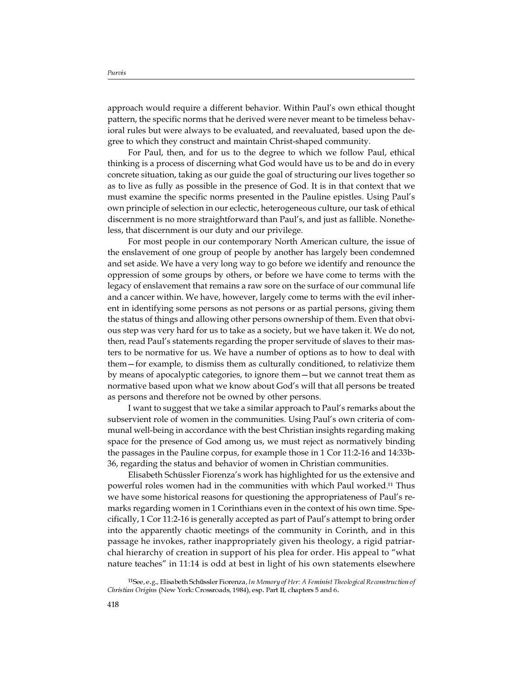approach would require a different behavior. Within Paul's own ethical thought pattern, the specific norms that he derived were never meant to be timeless behavioral rules but were always to be evaluated, and reevaluated, based upon the degree to which they construct and maintain Christ-shaped community.

For Paul, then, and for us to the degree to which we follow Paul, ethical thinking is a process of discerning what God would have us to be and do in every concrete situation, taking as our guide the goal of structuring our lives together so as to live as fully as possible in the presence of God. It is in that context that we must examine the specific norms presented in the Pauline epistles. Using Paul's own principle of selection in our eclectic, heterogeneous culture, our task of ethical discernment is no more straightforward than Paul's, and just as fallible. Nonetheless, that discernment is our duty and our privilege.

For most people in our contemporary North American culture, the issue of the enslavement of one group of people by another has largely been condemned and set aside. We have a very long way to go before we identify and renounce the oppression of some groups by others, or before we have come to terms with the legacy of enslavement that remains a raw sore on the surface of our communal life and a cancer within. We have, however, largely come to terms with the evil inherent in identifying some persons as not persons or as partial persons, giving them the status of things and allowing other persons ownership of them. Even that obvious step was very hard for us to take as a society, but we have taken it. We do not, then, read Paul's statements regarding the proper servitude of slaves to their masters to be normative for us. We have a number of options as to how to deal with them—for example, to dismiss them as culturally conditioned, to relativize them by means of apocalyptic categories, to ignore them—but we cannot treat them as normative based upon what we know about God's will that all persons be treated as persons and therefore not be owned by other persons.

I want to suggest that we take a similar approach to Paul's remarks about the subservient role of women in the communities. Using Paul's own criteria of communal well-being in accordance with the best Christian insights regarding making space for the presence of God among us, we must reject as normatively binding the passages in the Pauline corpus, for example those in 1 Cor 11:2-16 and 14:33b-36, regarding the status and behavior of women in Christian communities.

Elisabeth Schüssler Fiorenza's work has highlighted for us the extensive and powerful roles women had in the communities with which Paul worked.<sup>11</sup> Thus we have some historical reasons for questioning the appropriateness of Paul's remarks regarding women in 1 Corinthians even in the context of his own time. Specifically, 1 Cor 11:2-16 is generally accepted as part of Paul's attempt to bring order into the apparently chaotic meetings of the community in Corinth, and in this passage he invokes, rather inappropriately given his theology, a rigid patriarchal hierarchy of creation in support of his plea for order. His appeal to "what nature teaches" in 11:14 is odd at best in light of his own statements elsewhere

11See, e.g., Elisabeth Schüssler Fiorenza, In Memory of Her: A Feminist Theological Reconstruction of Christian Origins (New York: Crossroads, 1984), esp. Part II, chapters 5 and 6.